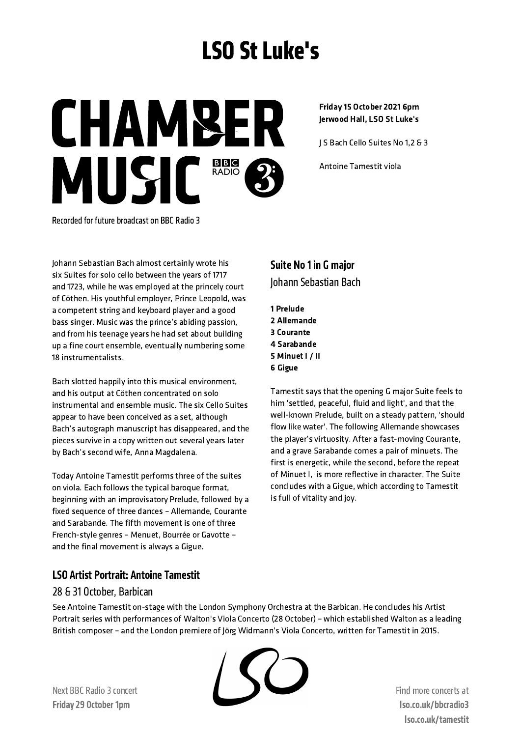# LSO St Luke's

**CHAMBER** MUSIC<sup>BBC</sup>

#### Friday 15 October 2021 6pm Jerwood Hall, LSO St Luke's

J S Bach Cello Suites No 1,2 & 3

Antoine Tamestit viola

Recorded for future broadcast on BBC Radio 3

Johann Sebastian Bach almost certainly wrote his six Suites for solo cello between the years of 1717 and 1723, while he was employed at the princely court of Cöthen. His youthful employer, Prince Leopold, was a competent string and keyboard player and a good bass singer. Music was the prince's abiding passion, and from his teenage years he had set about building up a fine court ensemble, eventually numbering some 18 instrumentalists.

Bach slotted happily into this musical environment, and his output at Cöthen concentrated on solo instrumental and ensemble music. The six Cello Suites appear to have been conceived as a set, although Bach's autograph manuscript has disappeared, and the pieces survive in a copy written out several years later by Bach's second wife, Anna Magdalena.

Today Antoine Tamestit performs three of the suites on viola. Each follows the typical baroque format, beginning with an improvisatory Prelude, followed by a fixed sequence of three dances – Allemande, Courante and Sarabande. The fifth movement is one of three French-style genres – Menuet, Bourrée or Gavotte – and the final movement is always a Gigue.

# Suite No 1 in G major Johann Sebastian Bach

1 Prelude 2 Allemande 3 Courante 4 Sarabande 5 Minuet I / II 6 Gigue

Tamestit says that the opening G major Suite feels to him 'settled, peaceful, fluid and light', and that the well-known Prelude, built on a steady pattern, 'should flow like water'. The following Allemande showcases the player's virtuosity. After a fast-moving Courante, and a grave Sarabande comes a pair of minuets. The first is energetic, while the second, before the repeat of Minuet I, is more reflective in character. The Suite concludes with a Gigue, which according to Tamestit is full of vitality and joy.

# LSO Artist Portrait: Antoine Tamestit

## 28 & 31 October, Barbican

See Antoine Tamestit on-stage with the London Symphony Orchestra at the Barbican. He concludes his Artist Portrait series with performances of Walton's Viola Concerto (28 October) – which established Walton as a leading British composer – and the London premiere of Jörg Widmann's Viola Concerto, written for Tamestit in 2015.



Next BBC Radio 3 concert Friday 29 October 1pm

Find more concerts at lso.co.uk/bbcradio3 lso.co.uk/tamestit